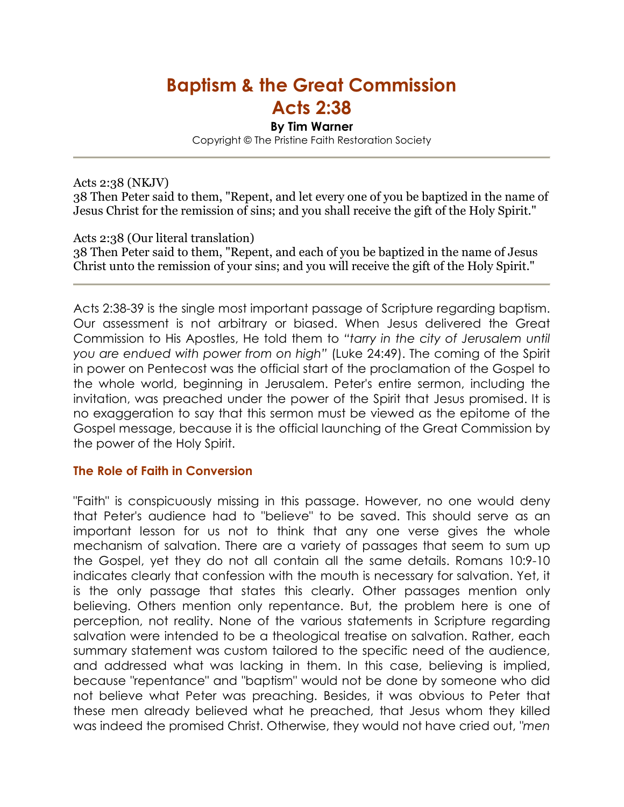# Baptism & the Great Commission

## Acts 2:38

#### By Tim Warner

Copyright © The Pristine Faith Restoration Society

Acts 2:38 (NKJV)

38 Then Peter said to them, "Repent, and let every one of you be baptized in the name of Jesus Christ for the remission of sins; and you shall receive the gift of the Holy Spirit."

#### Acts 2:38 (Our literal translation)

38 Then Peter said to them, "Repent, and each of you be baptized in the name of Jesus Christ unto the remission of your sins; and you will receive the gift of the Holy Spirit."

Acts 2:38-39 is the single most important passage of Scripture regarding baptism. Our assessment is not arbitrary or biased. When Jesus delivered the Great Commission to His Apostles, He told them to *"tarry in the city of Jerusalem until you are endued with power from on high"* (Luke 24:49). The coming of the Spirit in power on Pentecost was the official start of the proclamation of the Gospel to the whole world, beginning in Jerusalem. Peter's entire sermon, including the invitation, was preached under the power of the Spirit that Jesus promised. It is no exaggeration to say that this sermon must be viewed as the epitome of the Gospel message, because it is the official launching of the Great Commission by the power of the Holy Spirit.

#### The Role of Faith in Conversion

"Faith" is conspicuously missing in this passage. However, no one would deny that Peter's audience had to "believe" to be saved. This should serve as an important lesson for us not to think that any one verse gives the whole mechanism of salvation. There are a variety of passages that seem to sum up the Gospel, yet they do not all contain all the same details. Romans 10:9-10 indicates clearly that confession with the mouth is necessary for salvation. Yet, it is the only passage that states this clearly. Other passages mention only believing. Others mention only repentance. But, the problem here is one of perception, not reality. None of the various statements in Scripture regarding salvation were intended to be a theological treatise on salvation. Rather, each summary statement was custom tailored to the specific need of the audience, and addressed what was lacking in them. In this case, believing is implied, because "repentance" and "baptism" would not be done by someone who did not believe what Peter was preaching. Besides, it was obvious to Peter that these men already believed what he preached, that Jesus whom they killed was indeed the promised Christ. Otherwise, they would not have cried out, *"men*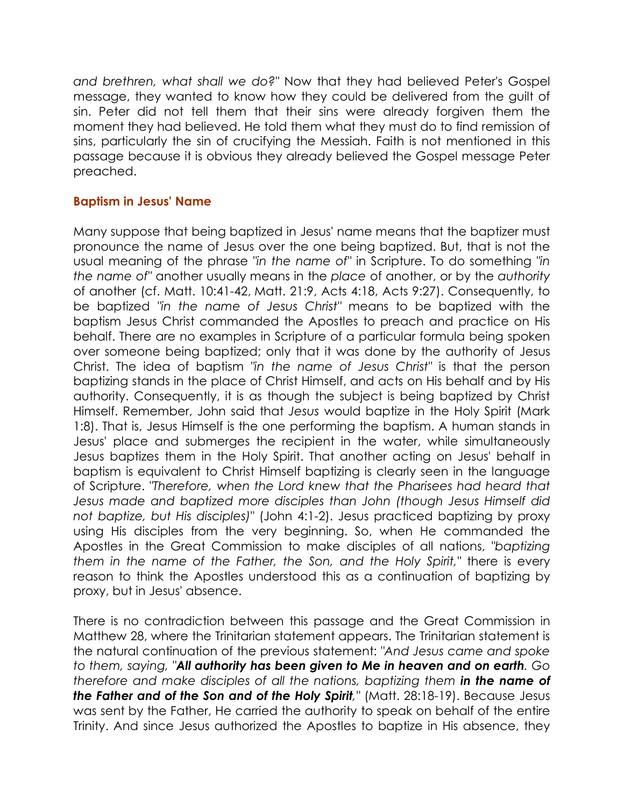*and brethren, what shall we do?"* Now that they had believed Peter's Gospel message, they wanted to know how they could be delivered from the guilt of sin. Peter did not tell them that their sins were already forgiven them the moment they had believed. He told them what they must do to find remission of sins, particularly the sin of crucifying the Messiah. Faith is not mentioned in this passage because it is obvious they already believed the Gospel message Peter preached.

#### Baptism in Jesus' Name

Many suppose that being baptized in Jesus' name means that the baptizer must pronounce the name of Jesus over the one being baptized. But, that is not the usual meaning of the phrase *"in the name of"* in Scripture. To do something *"in the name of"* another usually means in the *place* of another, or by the *authority* of another (cf. Matt. 10:41-42, Matt. 21:9, Acts 4:18, Acts 9:27). Consequently, to be baptized *"in the name of Jesus Christ"* means to be baptized with the baptism Jesus Christ commanded the Apostles to preach and practice on His behalf. There are no examples in Scripture of a particular formula being spoken over someone being baptized; only that it was done by the authority of Jesus Christ. The idea of baptism *"in the name of Jesus Christ"* is that the person baptizing stands in the place of Christ Himself, and acts on His behalf and by His authority. Consequently, it is as though the subject is being baptized by Christ Himself. Remember, John said that *Jesus* would baptize in the Holy Spirit (Mark 1:8). That is, Jesus Himself is the one performing the baptism. A human stands in Jesus' place and submerges the recipient in the water, while simultaneously Jesus baptizes them in the Holy Spirit. That another acting on Jesus' behalf in baptism is equivalent to Christ Himself baptizing is clearly seen in the language of Scripture. *"Therefore, when the Lord knew that the Pharisees had heard that Jesus made and baptized more disciples than John (though Jesus Himself did not baptize, but His disciples)"* (John 4:1-2). Jesus practiced baptizing by proxy using His disciples from the very beginning. So, when He commanded the Apostles in the Great Commission to make disciples of all nations, *"baptizing them in the name of the Father, the Son, and the Holy Spirit,"* there is every reason to think the Apostles understood this as a continuation of baptizing by proxy, but in Jesus' absence.

There is no contradiction between this passage and the Great Commission in Matthew 28, where the Trinitarian statement appears. The Trinitarian statement is the natural continuation of the previous statement: *"And Jesus came and spoke to them, saying, "*All authority has been given to Me in heaven and on earth*. Go therefore and make disciples of all the nations, baptizing them in the name of* the Father and of the Son and of the Holy Spirit*,"* (Matt. 28:18-19). Because Jesus was sent by the Father, He carried the authority to speak on behalf of the entire Trinity. And since Jesus authorized the Apostles to baptize in His absence, they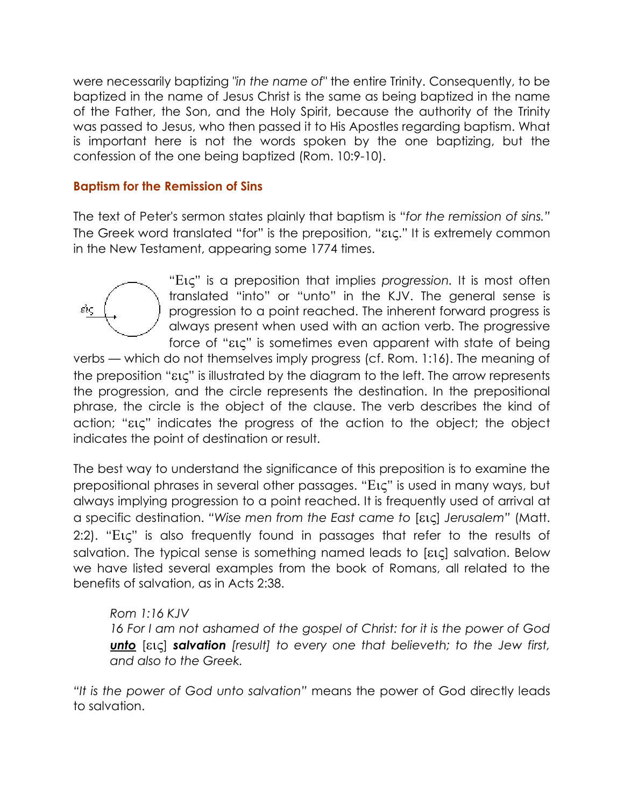were necessarily baptizing *"in the name of"* the entire Trinity. Consequently, to be baptized in the name of Jesus Christ is the same as being baptized in the name of the Father, the Son, and the Holy Spirit, because the authority of the Trinity was passed to Jesus, who then passed it to His Apostles regarding baptism. What is important here is not the words spoken by the one baptizing, but the confession of the one being baptized (Rom. 10:9-10).

#### Baptism for the Remission of Sins

The text of Peter's sermon states plainly that baptism is "*for the remission of sins."* The Greek word translated "for" is the preposition, "εις." It is extremely common in the New Testament, appearing some 1774 times.



"Εις" is a preposition that implies *progression.* It is most often translated "into" or "unto" in the KJV. The general sense is progression to a point reached. The inherent forward progress is always present when used with an action verb. The progressive force of "εις" is sometimes even apparent with state of being

verbs — which do not themselves imply progress (cf. Rom. 1:16). The meaning of the preposition "εις" is illustrated by the diagram to the left. The arrow represents the progression, and the circle represents the destination. In the prepositional phrase, the circle is the object of the clause. The verb describes the kind of action; "εις" indicates the progress of the action to the object; the object indicates the point of destination or result.

The best way to understand the significance of this preposition is to examine the prepositional phrases in several other passages. "Εις" is used in many ways, but always implying progression to a point reached. It is frequently used of arrival at a specific destination. *"Wise men from the East came to* [εις] *Jerusalem"* (Matt. 2:2). "Εις" is also frequently found in passages that refer to the results of salvation. The typical sense is something named leads to [εις] salvation. Below we have listed several examples from the book of Romans, all related to the benefits of salvation, as in Acts 2:38.

### *Rom 1:16 KJV*

*16 For I am not ashamed of the gospel of Christ: for it is the power of God*  unto [εις] salvation *[result] to every one that believeth; to the Jew first, and also to the Greek.* 

*"It is the power of God unto salvation"* means the power of God directly leads to salvation.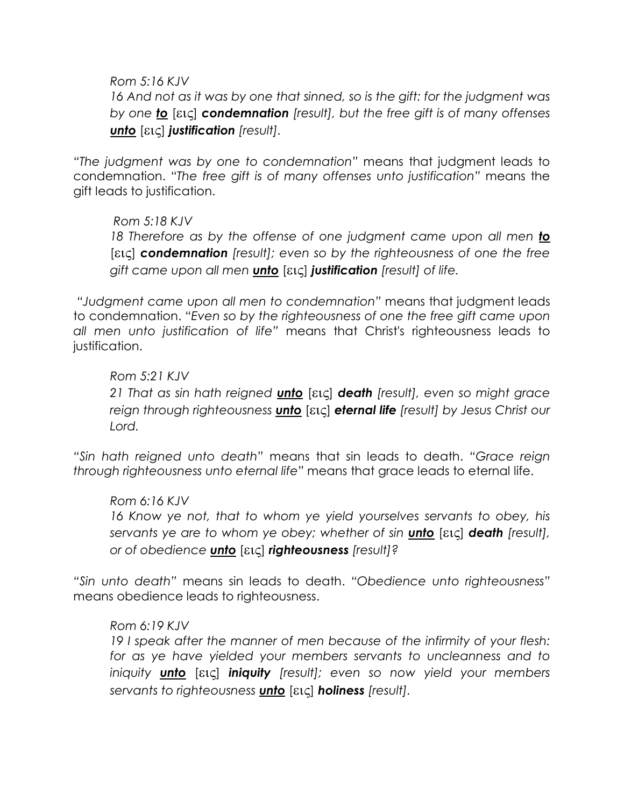#### *Rom 5:16 KJV*

*16 And not as it was by one that sinned, so is the gift: for the judgment was by one* to [εις] condemnation *[result], but the free gift is of many offenses*  unto [εις] justification *[result].* 

*"The judgment was by one to condemnation"* means that judgment leads to condemnation. "*The free gift is of many offenses unto justification"* means the gift leads to justification.

*Rom 5:18 KJV*  18 Therefore as by the offense of one judgment came upon all men **to** [εις] condemnation *[result]; even so by the righteousness of one the free gift came upon all men* unto [εις] justification *[result] of life.* 

 *"Judgment came upon all men to condemnation"* means that judgment leads to condemnation. "*Even so by the righteousness of one the free gift came upon all men unto justification of life"* means that Christ's righteousness leads to justification.

#### *Rom 5:21 KJV*

*21 That as sin hath reigned* unto [εις] death *[result], even so might grace reign through righteousness* unto [εις] eternal life *[result] by Jesus Christ our Lord.* 

*"Sin hath reigned unto death"* means that sin leads to death. *"Grace reign through righteousness unto eternal life"* means that grace leads to eternal life.

#### *Rom 6:16 KJV*

*16 Know ye not, that to whom ye yield yourselves servants to obey, his servants ye are to whom ye obey; whether of sin* unto [εις] death *[result], or of obedience* unto [εις] righteousness *[result]?* 

*"Sin unto death"* means sin leads to death. *"Obedience unto righteousness"*  means obedience leads to righteousness.

#### *Rom 6:19 KJV*

*19 I speak after the manner of men because of the infirmity of your flesh: for as ye have yielded your members servants to uncleanness and to iniquity* unto [εις] iniquity *[result]; even so now yield your members servants to righteousness* unto [εις] holiness *[result].*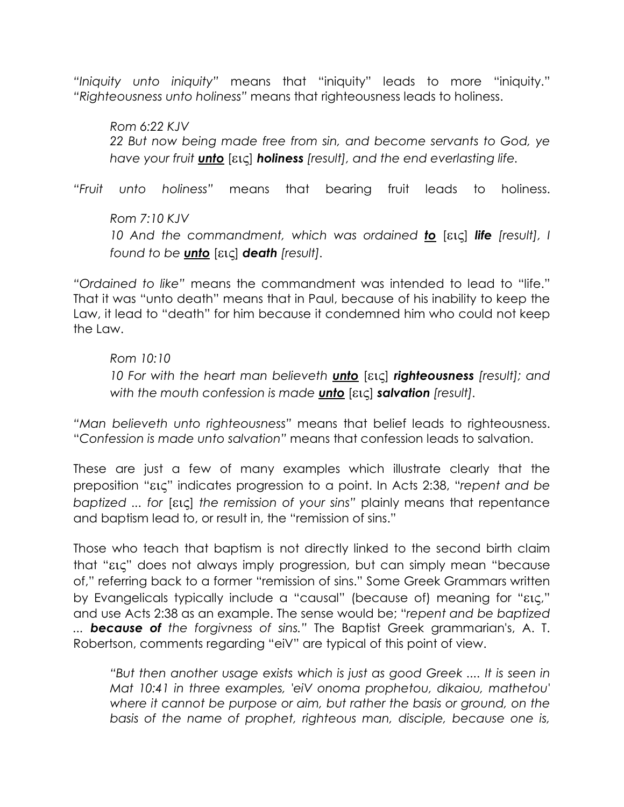*"Iniquity unto iniquity"* means that "iniquity" leads to more "iniquity." *"Righteousness unto holiness"* means that righteousness leads to holiness.

*Rom 6:22 KJV 22 But now being made free from sin, and become servants to God, ye have your fruit* unto [εις] holiness *[result], and the end everlasting life.* 

*"Fruit unto holiness"* means that bearing fruit leads to holiness.

*Rom 7:10 KJV 10 And the commandment, which was ordained* to [εις] life *[result], I found to be* unto [εις] death *[result].* 

*"Ordained to like"* means the commandment was intended to lead to "life." That it was "unto death" means that in Paul, because of his inability to keep the Law, it lead to "death" for him because it condemned him who could not keep the Law.

### *Rom 10:10*

*10 For with the heart man believeth* unto [εις] righteousness *[result]; and with the mouth confession is made* unto [εις] salvation *[result].* 

*"Man believeth unto righteousness"* means that belief leads to righteousness. "*Confession is made unto salvation"* means that confession leads to salvation.

These are just a few of many examples which illustrate clearly that the preposition "εις" indicates progression to a point. In Acts 2:38, "*repent and be baptized ... for* [εις] *the remission of your sins"* plainly means that repentance and baptism lead to, or result in, the "remission of sins."

Those who teach that baptism is not directly linked to the second birth claim that "εις" does not always imply progression, but can simply mean "because of," referring back to a former "remission of sins." Some Greek Grammars written by Evangelicals typically include a "causal" (because of) meaning for "εις," and use Acts 2:38 as an example. The sense would be; "*repent and be baptized ...* because of *the forgivness of sins."* The Baptist Greek grammarian's, A. T. Robertson, comments regarding "eiV" are typical of this point of view.

*"But then another usage exists which is just as good Greek .... It is seen in Mat 10:41 in three examples, 'eiV onoma prophetou, dikaiou, mathetou' where it cannot be purpose or aim, but rather the basis or ground, on the basis of the name of prophet, righteous man, disciple, because one is,*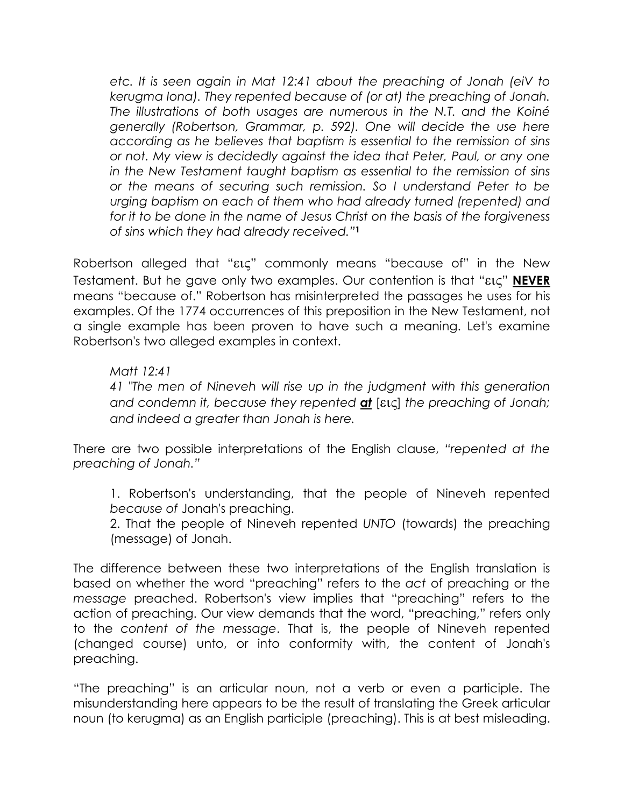*etc. It is seen again in Mat 12:41 about the preaching of Jonah (eiV to kerugma Iona). They repented because of (or at) the preaching of Jonah. The illustrations of both usages are numerous in the N.T. and the Koiné generally (Robertson, Grammar, p. 592). One will decide the use here according as he believes that baptism is essential to the remission of sins or not. My view is decidedly against the idea that Peter, Paul, or any one in the New Testament taught baptism as essential to the remission of sins or the means of securing such remission. So I understand Peter to be urging baptism on each of them who had already turned (repented) and for it to be done in the name of Jesus Christ on the basis of the forgiveness of sins which they had already received."*<sup>1</sup>

Robertson alleged that "εις" commonly means "because of" in the New Testament. But he gave only two examples. Our contention is that "εις" NEVER means "because of." Robertson has misinterpreted the passages he uses for his examples. Of the 1774 occurrences of this preposition in the New Testament, not a single example has been proven to have such a meaning. Let's examine Robertson's two alleged examples in context.

#### *Matt 12:41*

*41 "The men of Nineveh will rise up in the judgment with this generation and condemn it, because they repented* at [εις] *the preaching of Jonah; and indeed a greater than Jonah is here.* 

There are two possible interpretations of the English clause, *"repented at the preaching of Jonah."* 

1. Robertson's understanding, that the people of Nineveh repented *because of* Jonah's preaching.

2. That the people of Nineveh repented *UNTO* (towards) the preaching (message) of Jonah.

The difference between these two interpretations of the English translation is based on whether the word "preaching" refers to the *act* of preaching or the *message* preached. Robertson's view implies that "preaching" refers to the action of preaching. Our view demands that the word, "preaching," refers only to the *content of the message*. That is, the people of Nineveh repented (changed course) unto, or into conformity with, the content of Jonah's preaching.

"The preaching" is an articular noun, not a verb or even a participle. The misunderstanding here appears to be the result of translating the Greek articular noun (to kerugma) as an English participle (preaching). This is at best misleading.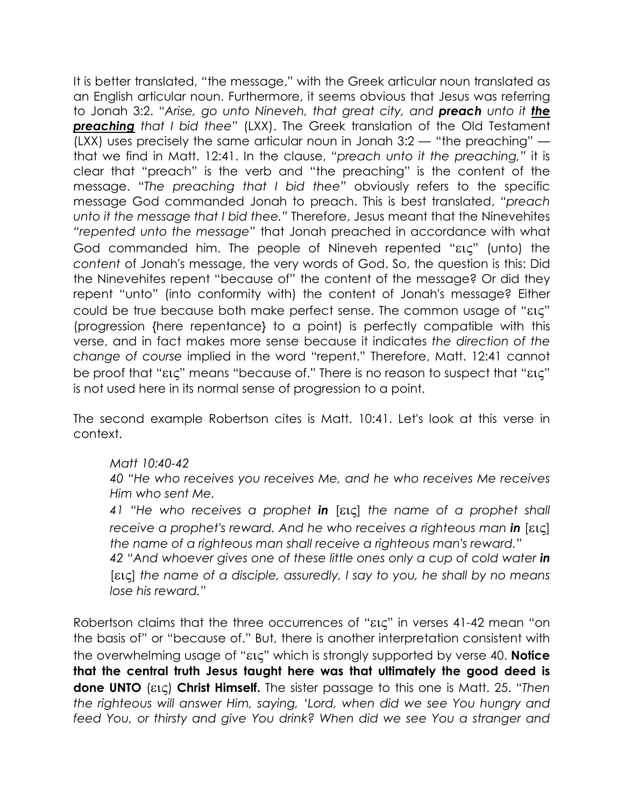It is better translated, "the message," with the Greek articular noun translated as an English articular noun. Furthermore, it seems obvious that Jesus was referring to Jonah 3:2. "*Arise, go unto Nineveh, that great city, and* preach *unto it* the preaching *that I bid thee"* (LXX). The Greek translation of the Old Testament (LXX) uses precisely the same articular noun in Jonah 3:2 — "the preaching" that we find in Matt. 12:41. In the clause, *"preach unto it the preaching,"* it is clear that "preach" is the verb and "the preaching" is the content of the message. "*The preaching that I bid thee"* obviously refers to the specific message God commanded Jonah to preach. This is best translated, *"preach unto it the message that I bid thee."* Therefore, Jesus meant that the Ninevehites *"repented unto the message"* that Jonah preached in accordance with what God commanded him. The people of Nineveh repented "εις" (unto) the *content* of Jonah's message, the very words of God. So, the question is this: Did the Ninevehites repent "because of" the content of the message? Or did they repent "unto" (into conformity with) the content of Jonah's message? Either could be true because both make perfect sense. The common usage of "εις" (progression {here repentance} to a point) is perfectly compatible with this verse, and in fact makes more sense because it indicates *the direction of the change of course* implied in the word "repent." Therefore, Matt. 12:41 cannot be proof that "εις" means "because of." There is no reason to suspect that "εις" is not used here in its normal sense of progression to a point.

The second example Robertson cites is Matt. 10:41. Let's look at this verse in context.

#### *Matt 10:40-42*

*40 "He who receives you receives Me, and he who receives Me receives Him who sent Me.* 

*41 "He who receives a prophet* in [εις] *the name of a prophet shall receive a prophet's reward. And he who receives a righteous man in [εις] the name of a righteous man shall receive a righteous man's reward."* 

42 "And whoever gives one of these little ones only a cup of cold water in [εις] *the name of a disciple, assuredly, I say to you, he shall by no means lose his reward."* 

Robertson claims that the three occurrences of "εις" in verses 41-42 mean "on the basis of" or "because of." But, there is another interpretation consistent with the overwhelming usage of "εις" which is strongly supported by verse 40. Notice that the central truth Jesus taught here was that ultimately the good deed is done UNTO (εις) Christ Himself. The sister passage to this one is Matt. 25. "*Then the righteous will answer Him, saying, 'Lord, when did we see You hungry and feed You, or thirsty and give You drink? When did we see You a stranger and*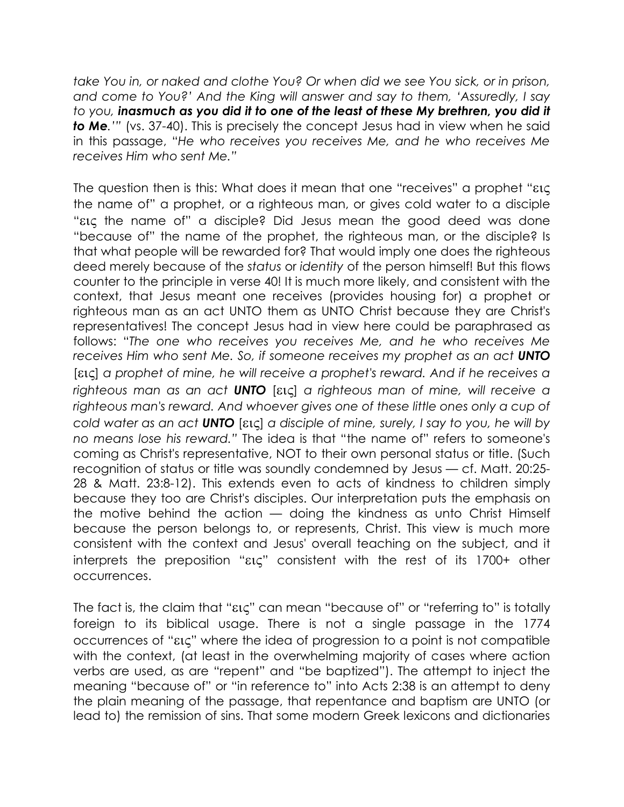*take You in, or naked and clothe You? Or when did we see You sick, or in prison, and come to You?' And the King will answer and say to them, 'Assuredly, I say to you,* inasmuch as you did it to one of the least of these My brethren, you did it to Me*.'"* (vs. 37-40). This is precisely the concept Jesus had in view when he said in this passage, "*He who receives you receives Me, and he who receives Me receives Him who sent Me."*

The question then is this: What does it mean that one "receives" a prophet "εις the name of" a prophet, or a righteous man, or gives cold water to a disciple "εις the name of" a disciple? Did Jesus mean the good deed was done "because of" the name of the prophet, the righteous man, or the disciple? Is that what people will be rewarded for? That would imply one does the righteous deed merely because of the *status* or *identity* of the person himself! But this flows counter to the principle in verse 40! It is much more likely, and consistent with the context, that Jesus meant one receives (provides housing for) a prophet or righteous man as an act UNTO them as UNTO Christ because they are Christ's representatives! The concept Jesus had in view here could be paraphrased as follows: "*The one who receives you receives Me, and he who receives Me*  receives Him who sent Me. So, if someone receives my prophet as an act **UNTO** [εις] *a prophet of mine, he will receive a prophet's reward. And if he receives a righteous man as an act* UNTO [εις] *a righteous man of mine, will receive a righteous man's reward. And whoever gives one of these little ones only a cup of cold water as an act* UNTO [εις] *a disciple of mine, surely, I say to you, he will by no means lose his reward."* The idea is that "the name of" refers to someone's coming as Christ's representative, NOT to their own personal status or title. (Such recognition of status or title was soundly condemned by Jesus — cf. Matt. 20:25- 28 & Matt. 23:8-12). This extends even to acts of kindness to children simply because they too are Christ's disciples. Our interpretation puts the emphasis on the motive behind the action — doing the kindness as unto Christ Himself because the person belongs to, or represents, Christ. This view is much more consistent with the context and Jesus' overall teaching on the subject, and it interprets the preposition "εις" consistent with the rest of its 1700+ other occurrences.

The fact is, the claim that "εις" can mean "because of" or "referring to" is totally foreign to its biblical usage. There is not a single passage in the 1774 occurrences of "εις" where the idea of progression to a point is not compatible with the context, (at least in the overwhelming majority of cases where action verbs are used, as are "repent" and "be baptized"). The attempt to inject the meaning "because of" or "in reference to" into Acts 2:38 is an attempt to deny the plain meaning of the passage, that repentance and baptism are UNTO (or lead to) the remission of sins. That some modern Greek lexicons and dictionaries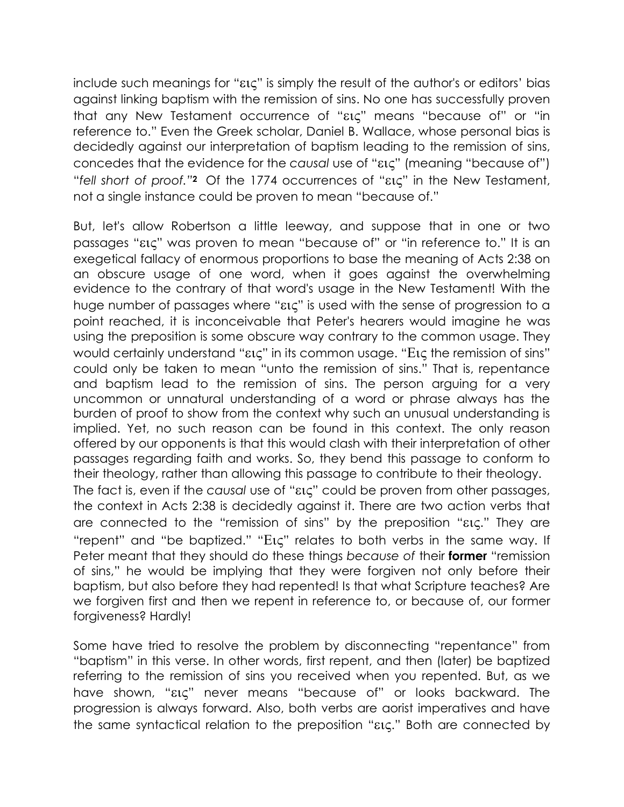include such meanings for "εις" is simply the result of the author's or editors' bias against linking baptism with the remission of sins. No one has successfully proven that any New Testament occurrence of "εις" means "because of" or "in reference to." Even the Greek scholar, Daniel B. Wallace, whose personal bias is decidedly against our interpretation of baptism leading to the remission of sins, concedes that the evidence for the *causal* use of "εις" (meaning "because of") "*fell short of proof."*<sup>2</sup> Of the 1774 occurrences of "εις" in the New Testament, not a single instance could be proven to mean "because of."

But, let's allow Robertson a little leeway, and suppose that in one or two passages "εις" was proven to mean "because of" or "in reference to." It is an exegetical fallacy of enormous proportions to base the meaning of Acts 2:38 on an obscure usage of one word, when it goes against the overwhelming evidence to the contrary of that word's usage in the New Testament! With the huge number of passages where "εις" is used with the sense of progression to a point reached, it is inconceivable that Peter's hearers would imagine he was using the preposition is some obscure way contrary to the common usage. They would certainly understand "εις" in its common usage. "Εις the remission of sins" could only be taken to mean "unto the remission of sins." That is, repentance and baptism lead to the remission of sins. The person arguing for a very uncommon or unnatural understanding of a word or phrase always has the burden of proof to show from the context why such an unusual understanding is implied. Yet, no such reason can be found in this context. The only reason offered by our opponents is that this would clash with their interpretation of other passages regarding faith and works. So, they bend this passage to conform to their theology, rather than allowing this passage to contribute to their theology. The fact is, even if the *causal* use of "εις" could be proven from other passages, the context in Acts 2:38 is decidedly against it. There are two action verbs that are connected to the "remission of sins" by the preposition "εις." They are "repent" and "be baptized." "Εις" relates to both verbs in the same way. If Peter meant that they should do these things *because of* their former "remission of sins," he would be implying that they were forgiven not only before their baptism, but also before they had repented! Is that what Scripture teaches? Are we forgiven first and then we repent in reference to, or because of, our former forgiveness? Hardly!

Some have tried to resolve the problem by disconnecting "repentance" from "baptism" in this verse. In other words, first repent, and then (later) be baptized referring to the remission of sins you received when you repented. But, as we have shown, "εις" never means "because of" or looks backward. The progression is always forward. Also, both verbs are aorist imperatives and have the same syntactical relation to the preposition "εις." Both are connected by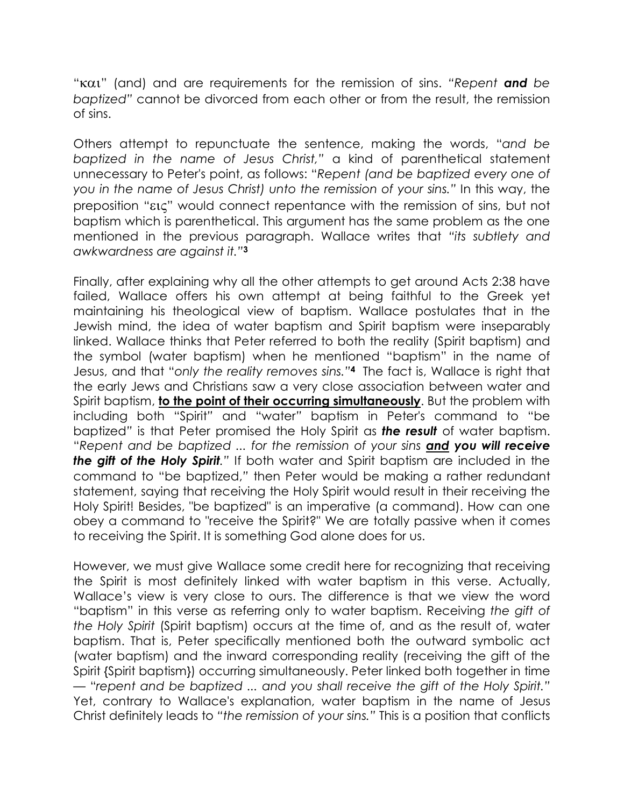"και" (and) and are requirements for the remission of sins. *"Repent* and *be baptized"* cannot be divorced from each other or from the result, the remission of sins.

Others attempt to repunctuate the sentence, making the words, "*and be baptized in the name of Jesus Christ,"* a kind of parenthetical statement unnecessary to Peter's point, as follows: "*Repent (and be baptized every one of you in the name of Jesus Christ) unto the remission of your sins."* In this way, the preposition "εις" would connect repentance with the remission of sins, but not baptism which is parenthetical. This argument has the same problem as the one mentioned in the previous paragraph. Wallace writes that *"its subtlety and awkwardness are against it."*<sup>3</sup>

Finally, after explaining why all the other attempts to get around Acts 2:38 have failed, Wallace offers his own attempt at being faithful to the Greek yet maintaining his theological view of baptism. Wallace postulates that in the Jewish mind, the idea of water baptism and Spirit baptism were inseparably linked. Wallace thinks that Peter referred to both the reality (Spirit baptism) and the symbol (water baptism) when he mentioned "baptism" in the name of Jesus, and that "*only the reality removes sins."*<sup>4</sup> The fact is, Wallace is right that the early Jews and Christians saw a very close association between water and Spirit baptism, to the point of their occurring simultaneously. But the problem with including both "Spirit*"* and "water*"* baptism in Peter's command to "be baptized*"* is that Peter promised the Holy Spirit as the result of water baptism. "*Repent and be baptized ... for the remission of your sins* and you will receive the gift of the Holy Spirit*."* If both water and Spirit baptism are included in the command to "be baptized,*"* then Peter would be making a rather redundant statement, saying that receiving the Holy Spirit would result in their receiving the Holy Spirit! Besides, "be baptized" is an imperative (a command). How can one obey a command to "receive the Spirit?" We are totally passive when it comes to receiving the Spirit. It is something God alone does for us.

However, we must give Wallace some credit here for recognizing that receiving the Spirit is most definitely linked with water baptism in this verse. Actually, Wallace's view is very close to ours. The difference is that we view the word "baptism" in this verse as referring only to water baptism. Receiving *the gift of the Holy Spirit* (Spirit baptism) occurs at the time of, and as the result of, water baptism. That is, Peter specifically mentioned both the outward symbolic act (water baptism) and the inward corresponding reality (receiving the gift of the Spirit {Spirit baptism}) occurring simultaneously. Peter linked both together in time — "*repent and be baptized ... and you shall receive the gift of the Holy Spirit."* Yet, contrary to Wallace's explanation, water baptism in the name of Jesus Christ definitely leads to *"the remission of your sins."* This is a position that conflicts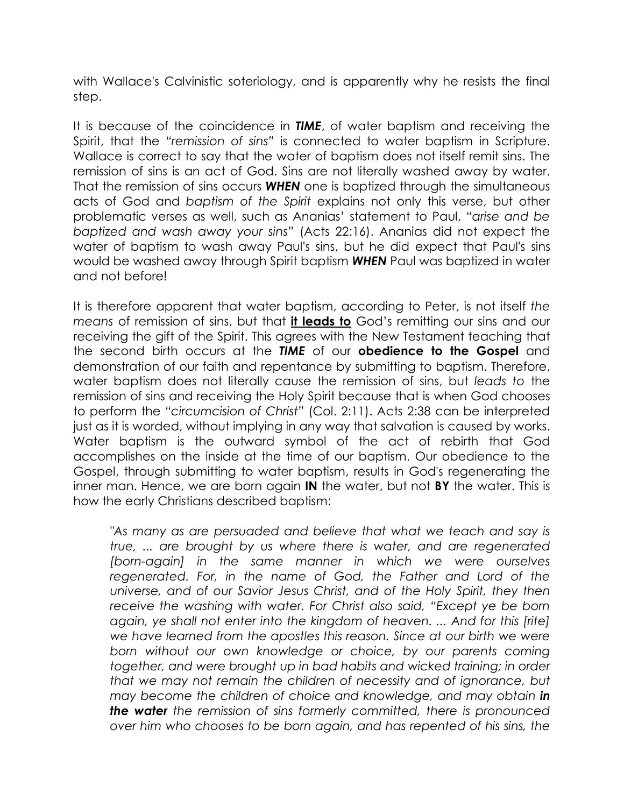with Wallace's Calvinistic soteriology, and is apparently why he resists the final step.

It is because of the coincidence in **TIME**, of water baptism and receiving the Spirit, that the *"remission of sins"* is connected to water baptism in Scripture. Wallace is correct to say that the water of baptism does not itself remit sins. The remission of sins is an act of God. Sins are not literally washed away by water. That the remission of sins occurs **WHEN** one is baptized through the simultaneous acts of God and *baptism of the Spirit* explains not only this verse, but other problematic verses as well, such as Ananias' statement to Paul, "*arise and be baptized and wash away your sins"* (Acts 22:16). Ananias did not expect the water of baptism to wash away Paul's sins, but he did expect that Paul's sins would be washed away through Spirit baptism WHEN Paul was baptized in water and not before!

It is therefore apparent that water baptism, according to Peter, is not itself *the means* of remission of sins, but that it leads to God's remitting our sins and our receiving the gift of the Spirit. This agrees with the New Testament teaching that the second birth occurs at the TIME of our **obedience to the Gospel** and demonstration of our faith and repentance by submitting to baptism. Therefore, water baptism does not literally cause the remission of sins, but *leads to* the remission of sins and receiving the Holy Spirit because that is when God chooses to perform the *"circumcision of Christ"* (Col. 2:11). Acts 2:38 can be interpreted just as it is worded, without implying in any way that salvation is caused by works. Water baptism is the outward symbol of the act of rebirth that God accomplishes on the inside at the time of our baptism. Our obedience to the Gospel, through submitting to water baptism, results in God's regenerating the inner man. Hence, we are born again IN the water, but not BY the water. This is how the early Christians described baptism:

*"As many as are persuaded and believe that what we teach and say is true, ... are brought by us where there is water, and are regenerated Iborn-again] in the same manner in which we were ourselves regenerated. For, in the name of God, the Father and Lord of the universe, and of our Savior Jesus Christ, and of the Holy Spirit, they then receive the washing with water. For Christ also said, "Except ye be born again, ye shall not enter into the kingdom of heaven. ... And for this [rite] we have learned from the apostles this reason. Since at our birth we were born without our own knowledge or choice, by our parents coming together, and were brought up in bad habits and wicked training; in order that we may not remain the children of necessity and of ignorance, but may become the children of choice and knowledge, and may obtain in* the water *the remission of sins formerly committed, there is pronounced over him who chooses to be born again, and has repented of his sins, the*